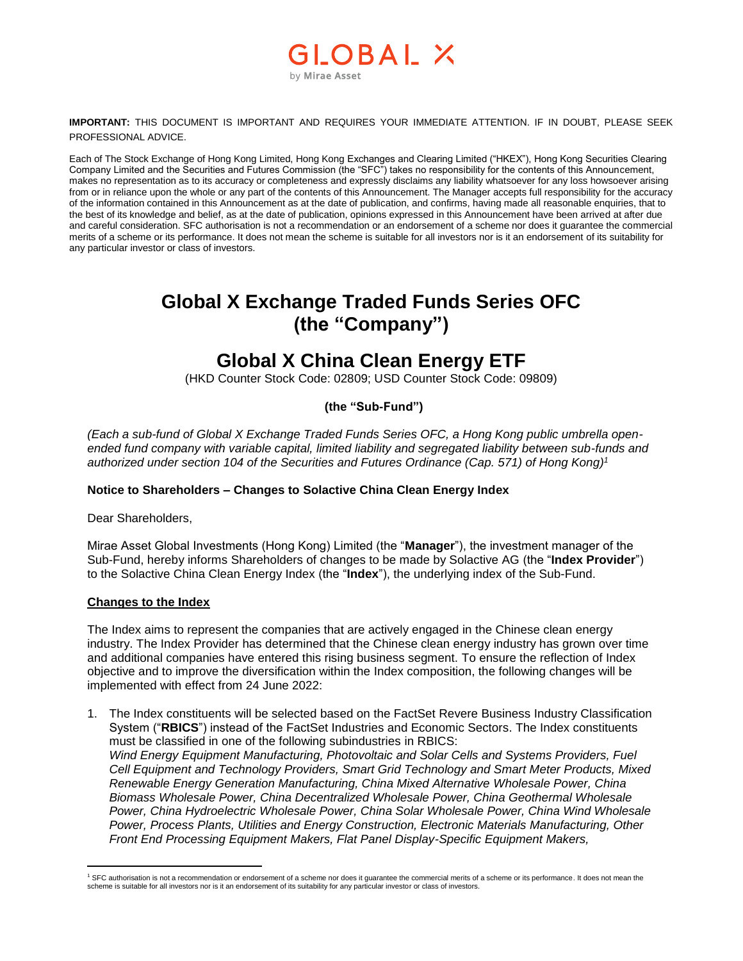## OBAL X by Mirae Asset

**IMPORTANT:** THIS DOCUMENT IS IMPORTANT AND REQUIRES YOUR IMMEDIATE ATTENTION. IF IN DOUBT, PLEASE SEEK PROFESSIONAL ADVICE.

Each of The Stock Exchange of Hong Kong Limited, Hong Kong Exchanges and Clearing Limited ("HKEX"), Hong Kong Securities Clearing Company Limited and the Securities and Futures Commission (the "SFC") takes no responsibility for the contents of this Announcement, makes no representation as to its accuracy or completeness and expressly disclaims any liability whatsoever for any loss howsoever arising from or in reliance upon the whole or any part of the contents of this Announcement. The Manager accepts full responsibility for the accuracy of the information contained in this Announcement as at the date of publication, and confirms, having made all reasonable enquiries, that to the best of its knowledge and belief, as at the date of publication, opinions expressed in this Announcement have been arrived at after due and careful consideration. SFC authorisation is not a recommendation or an endorsement of a scheme nor does it guarantee the commercial merits of a scheme or its performance. It does not mean the scheme is suitable for all investors nor is it an endorsement of its suitability for any particular investor or class of investors.

# **Global X Exchange Traded Funds Series OFC (the "Company")**

## **Global X China Clean Energy ETF**

(HKD Counter Stock Code: 02809; USD Counter Stock Code: 09809)

### **(the "Sub-Fund")**

*(Each a sub-fund of Global X Exchange Traded Funds Series OFC, a Hong Kong public umbrella openended fund company with variable capital, limited liability and segregated liability between sub-funds and authorized under section 104 of the Securities and Futures Ordinance (Cap. 571) of Hong Kong) 1*

### **Notice to Shareholders – Changes to Solactive China Clean Energy Index**

Dear Shareholders,

Mirae Asset Global Investments (Hong Kong) Limited (the "**Manager**"), the investment manager of the Sub-Fund, hereby informs Shareholders of changes to be made by Solactive AG (the "**Index Provider**") to the Solactive China Clean Energy Index (the "**Index**"), the underlying index of the Sub-Fund.

#### **Changes to the Index**

The Index aims to represent the companies that are actively engaged in the Chinese clean energy industry. The Index Provider has determined that the Chinese clean energy industry has grown over time and additional companies have entered this rising business segment. To ensure the reflection of Index objective and to improve the diversification within the Index composition, the following changes will be implemented with effect from 24 June 2022:

1. The Index constituents will be selected based on the FactSet Revere Business Industry Classification System ("**RBICS**") instead of the FactSet Industries and Economic Sectors. The Index constituents must be classified in one of the following subindustries in RBICS: *Wind Energy Equipment Manufacturing, Photovoltaic and Solar Cells and Systems Providers, Fuel Cell Equipment and Technology Providers, Smart Grid Technology and Smart Meter Products, Mixed Renewable Energy Generation Manufacturing, China Mixed Alternative Wholesale Power, China Biomass Wholesale Power, China Decentralized Wholesale Power, China Geothermal Wholesale Power, China Hydroelectric Wholesale Power, China Solar Wholesale Power, China Wind Wholesale Power, Process Plants, Utilities and Energy Construction, Electronic Materials Manufacturing, Other Front End Processing Equipment Makers, Flat Panel Display-Specific Equipment Makers,* 

 $\overline{a}$  $1$  SFC authorisation is not a recommendation or endorsement of a scheme nor does it guarantee the commercial merits of a scheme or its performance. It does not mean the scheme is suitable for all investors nor is it an endorsement of its suitability for any particular investor or class of investors.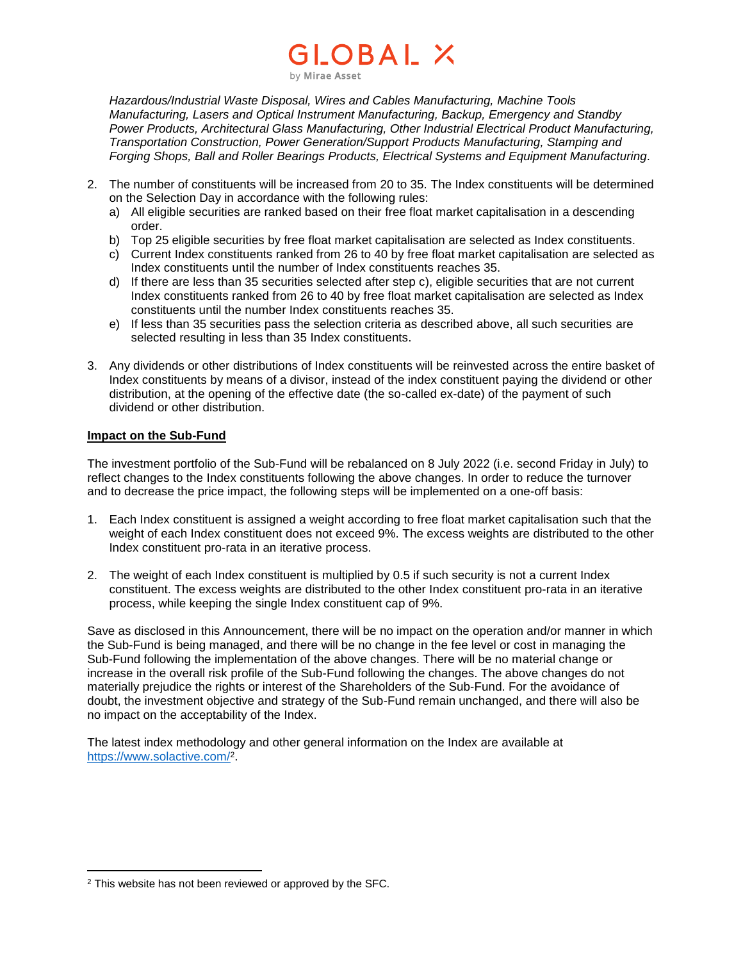### OBAL X by Mirae Asset

*Hazardous/Industrial Waste Disposal, Wires and Cables Manufacturing, Machine Tools Manufacturing, Lasers and Optical Instrument Manufacturing, Backup, Emergency and Standby Power Products, Architectural Glass Manufacturing, Other Industrial Electrical Product Manufacturing, Transportation Construction, Power Generation/Support Products Manufacturing, Stamping and Forging Shops, Ball and Roller Bearings Products, Electrical Systems and Equipment Manufacturing.*

- 2. The number of constituents will be increased from 20 to 35. The Index constituents will be determined on the Selection Day in accordance with the following rules:
	- a) All eligible securities are ranked based on their free float market capitalisation in a descending order.
	- b) Top 25 eligible securities by free float market capitalisation are selected as Index constituents.
	- c) Current Index constituents ranked from 26 to 40 by free float market capitalisation are selected as Index constituents until the number of Index constituents reaches 35.
	- d) If there are less than 35 securities selected after step c), eligible securities that are not current Index constituents ranked from 26 to 40 by free float market capitalisation are selected as Index constituents until the number Index constituents reaches 35.
	- e) If less than 35 securities pass the selection criteria as described above, all such securities are selected resulting in less than 35 Index constituents.
- 3. Any dividends or other distributions of Index constituents will be reinvested across the entire basket of Index constituents by means of a divisor, instead of the index constituent paying the dividend or other distribution, at the opening of the effective date (the so-called ex-date) of the payment of such dividend or other distribution.

#### **Impact on the Sub-Fund**

The investment portfolio of the Sub-Fund will be rebalanced on 8 July 2022 (i.e. second Friday in July) to reflect changes to the Index constituents following the above changes. In order to reduce the turnover and to decrease the price impact, the following steps will be implemented on a one-off basis:

- 1. Each Index constituent is assigned a weight according to free float market capitalisation such that the weight of each Index constituent does not exceed 9%. The excess weights are distributed to the other Index constituent pro-rata in an iterative process.
- 2. The weight of each Index constituent is multiplied by 0.5 if such security is not a current Index constituent. The excess weights are distributed to the other Index constituent pro-rata in an iterative process, while keeping the single Index constituent cap of 9%.

Save as disclosed in this Announcement, there will be no impact on the operation and/or manner in which the Sub-Fund is being managed, and there will be no change in the fee level or cost in managing the Sub-Fund following the implementation of the above changes. There will be no material change or increase in the overall risk profile of the Sub-Fund following the changes. The above changes do not materially prejudice the rights or interest of the Shareholders of the Sub-Fund. For the avoidance of doubt, the investment objective and strategy of the Sub-Fund remain unchanged, and there will also be no impact on the acceptability of the Index.

The latest index methodology and other general information on the Index are available at <https://www.solactive.com/><sup>2</sup>.

 $\overline{a}$ <sup>2</sup> This website has not been reviewed or approved by the SFC.